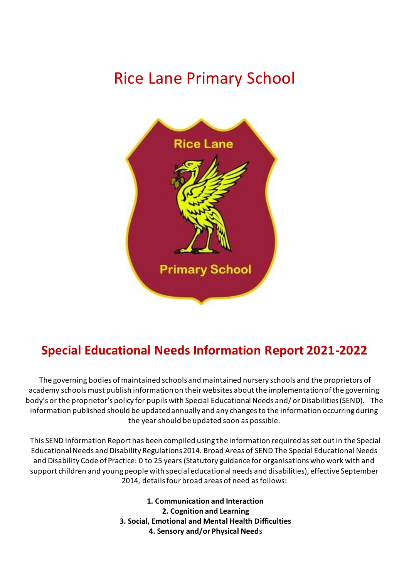## Rice Lane Primary School



## **Special Educational Needs Information Report 2021-2022**

The governing bodies of maintained schools and maintained nursery schools and the proprietors of academy schools must publish information on their websites about the implementation of the governing body's or the proprietor's policy for pupils with Special Educational Needs and/ or Disabilities (SEND). The information published should be updated annually and any changes to the information occurring during the year should be updated soon as possible.

This SEND Information Report has been compiled using the information required as set out in the Special Educational Needs and Disability Regulations 2014. Broad Areas of SEND The Special Educational Needs and Disability Code of Practice: 0 to 25 years (Statutory guidance for organisations who work with and support children and young people with special educational needs and disabilities), effective September 2014, details four broad areas of need as follows:

> **1. Communication and Interaction 2. Cognition and Learning 3. Social, Emotional and Mental Health Difficulties 4. Sensory and/or Physical Need**s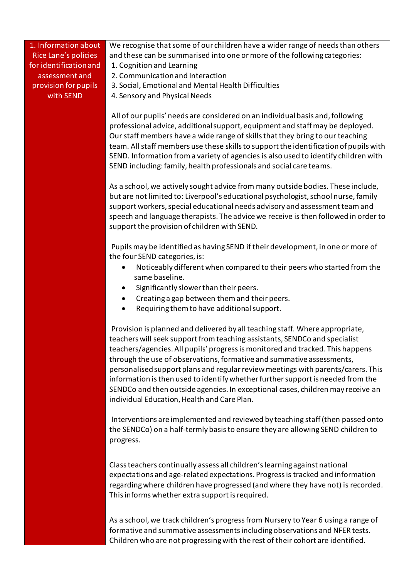## 1. Information about Rice Lane's policies for identification and assessment and provision for pupils with SEND

We recognise that some of our children have a wider range of needs than others and these can be summarised into one or more of the following categories:

- 1. Cognition and Learning
- 2. Communication and Interaction
- 3. Social, Emotional and Mental Health Difficulties
- 4. Sensory and Physical Needs

All of our pupils' needs are considered on an individual basis and, following professional advice, additional support, equipment and staff may be deployed. Our staff members have a wide range of skills that they bring to our teaching team. All staff members use these skills to support the identification of pupils with SEND. Information from a variety of agencies is also used to identify children with SEND including: family, health professionals and social care teams.

As a school, we actively sought advice from many outside bodies. These include, but are not limited to: Liverpool's educational psychologist, school nurse, family support workers, special educational needs advisory and assessment team and speech and language therapists. The advice we receive is then followed in order to support the provision of children with SEND.

Pupils may be identified as having SEND if their development, in one or more of the four SEND categories, is:

- Noticeably different when compared to their peers who started from the same baseline.
- Significantly slower than their peers.
- Creating a gap between them and their peers.
- Requiring them to have additional support.

Provision is planned and delivered by all teaching staff. Where appropriate, teachers will seek support from teaching assistants, SENDCo and specialist teachers/agencies. All pupils' progress is monitored and tracked. This happens through the use of observations, formative and summative assessments, personalised support plans and regular review meetings with parents/carers. This information is then used to identify whether further support is needed from the SENDCo and then outside agencies. In exceptional cases, children may receive an individual Education, Health and Care Plan.

Interventions are implemented and reviewed by teaching staff (then passed onto the SENDCo) on a half-termly basis to ensure they are allowing SEND children to progress.

Class teachers continually assess all children's learning against national expectations and age-related expectations. Progress is tracked and information regarding where children have progressed (and where they have not) is recorded. This informs whether extra support is required.

As a school, we track children's progress from Nursery to Year 6 using a range of formative and summative assessments including observations and NFER tests. Children who are not progressing with the rest of their cohort are identified.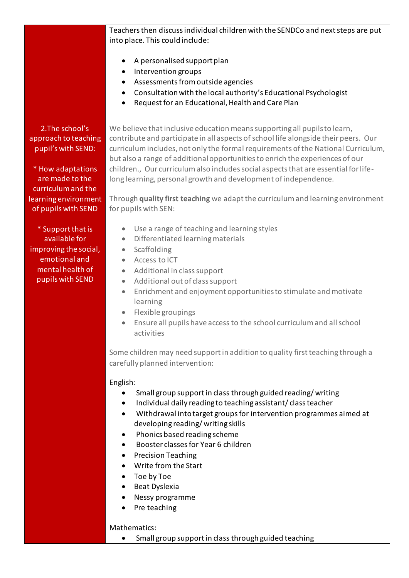|                                                                                                                      | Teachers then discuss individual children with the SENDCo and next steps are put<br>into place. This could include:<br>A personalised support plan<br>$\bullet$<br>Intervention groups<br>$\bullet$<br>Assessments from outside agencies<br>$\bullet$<br>Consultation with the local authority's Educational Psychologist<br>$\bullet$<br>Request for an Educational, Health and Care Plan<br>$\bullet$                                                                                                                                                                                |
|----------------------------------------------------------------------------------------------------------------------|----------------------------------------------------------------------------------------------------------------------------------------------------------------------------------------------------------------------------------------------------------------------------------------------------------------------------------------------------------------------------------------------------------------------------------------------------------------------------------------------------------------------------------------------------------------------------------------|
| 2. The school's                                                                                                      | We believe that inclusive education means supporting all pupils to learn,                                                                                                                                                                                                                                                                                                                                                                                                                                                                                                              |
| approach to teaching<br>pupil's with SEND:                                                                           | contribute and participate in all aspects of school life alongside their peers. Our<br>curriculum includes, not only the formal requirements of the National Curriculum,<br>but also a range of additional opportunities to enrich the experiences of our                                                                                                                                                                                                                                                                                                                              |
| * How adaptations                                                                                                    | children., Our curriculum also includes social aspects that are essential for life-                                                                                                                                                                                                                                                                                                                                                                                                                                                                                                    |
| are made to the                                                                                                      | long learning, personal growth and development of independence.                                                                                                                                                                                                                                                                                                                                                                                                                                                                                                                        |
| curriculum and the<br>learning environment<br>of pupils with SEND                                                    | Through quality first teaching we adapt the curriculum and learning environment<br>for pupils with SEN:                                                                                                                                                                                                                                                                                                                                                                                                                                                                                |
| * Support that is<br>available for<br>improving the social,<br>emotional and<br>mental health of<br>pupils with SEND | Use a range of teaching and learning styles<br>$\bullet$<br>Differentiated learning materials<br>$\bullet$<br>Scaffolding<br>$\bullet$<br>Access to ICT<br>$\bullet$<br>Additional in class support<br>$\bullet$<br>Additional out of class support<br>$\bullet$<br>Enrichment and enjoyment opportunities to stimulate and motivate<br>$\bullet$<br>learning<br>Flexible groupings<br>$\bullet$<br>Ensure all pupils have access to the school curriculum and all school<br>$\bullet$<br>activities<br>Some children may need support in addition to quality first teaching through a |
|                                                                                                                      | carefully planned intervention:<br>English:                                                                                                                                                                                                                                                                                                                                                                                                                                                                                                                                            |
|                                                                                                                      | Small group support in class through guided reading/writing<br>$\bullet$<br>Individual daily reading to teaching assistant/class teacher<br>$\bullet$<br>Withdrawal into target groups for intervention programmes aimed at<br>$\bullet$<br>developing reading/writing skills<br>Phonics based reading scheme<br>Booster classes for Year 6 children<br><b>Precision Teaching</b><br>$\bullet$<br>Write from the Start<br>Toe by Toe<br>Beat Dyslexia<br>Nessy programme<br>Pre teaching<br>Mathematics:                                                                               |

• Small group support in class through guided teaching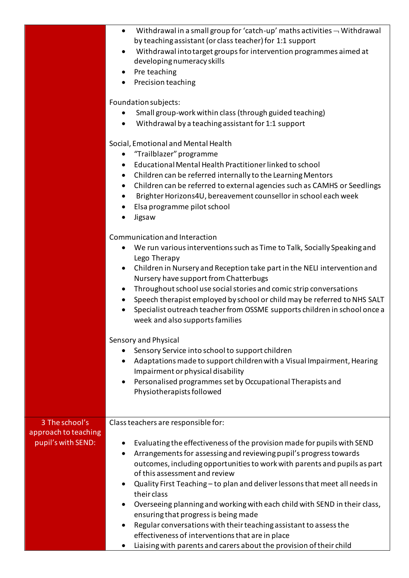|                                                              | Withdrawal in a small group for 'catch-up' maths activities $\neg$ Withdrawal<br>$\bullet$<br>by teaching assistant (or class teacher) for 1:1 support<br>Withdrawal into target groups for intervention programmes aimed at<br>$\bullet$<br>developing numeracy skills<br>Pre teaching<br>$\bullet$<br>Precision teaching                                                                                                                                                                                                                                                                                                                                                                                                                                                                                                        |
|--------------------------------------------------------------|-----------------------------------------------------------------------------------------------------------------------------------------------------------------------------------------------------------------------------------------------------------------------------------------------------------------------------------------------------------------------------------------------------------------------------------------------------------------------------------------------------------------------------------------------------------------------------------------------------------------------------------------------------------------------------------------------------------------------------------------------------------------------------------------------------------------------------------|
|                                                              | Foundation subjects:<br>Small group-work within class (through guided teaching)<br>Withdrawal by a teaching assistant for 1:1 support                                                                                                                                                                                                                                                                                                                                                                                                                                                                                                                                                                                                                                                                                             |
|                                                              | Social, Emotional and Mental Health<br>"Trailblazer" programme<br>٠<br>Educational Mental Health Practitioner linked to school<br>$\bullet$<br>Children can be referred internally to the Learning Mentors<br>$\bullet$<br>Children can be referred to external agencies such as CAMHS or Seedlings<br>$\bullet$<br>Brighter Horizons4U, bereavement counsellor in school each week<br>Elsa programme pilot school<br>Jigsaw                                                                                                                                                                                                                                                                                                                                                                                                      |
|                                                              | Communication and Interaction<br>We run various interventions such as Time to Talk, Socially Speaking and<br>٠<br>Lego Therapy<br>Children in Nursery and Reception take part in the NELI intervention and<br>$\bullet$<br>Nursery have support from Chatterbugs<br>Throughout school use social stories and comic strip conversations<br>$\bullet$<br>Speech therapist employed by school or child may be referred to NHS SALT<br>$\bullet$<br>Specialist outreach teacher from OSSME supports children in school once a<br>$\bullet$<br>week and also supports families<br>Sensory and Physical<br>Sensory Service into school to support children<br>Adaptations made to support children with a Visual Impairment, Hearing<br>Impairment or physical disability<br>Personalised programmes set by Occupational Therapists and |
|                                                              | Physiotherapists followed                                                                                                                                                                                                                                                                                                                                                                                                                                                                                                                                                                                                                                                                                                                                                                                                         |
| 3 The school's<br>approach to teaching<br>pupil's with SEND: | Class teachers are responsible for:<br>Evaluating the effectiveness of the provision made for pupils with SEND<br>Arrangements for assessing and reviewing pupil's progress towards<br>٠<br>outcomes, including opportunities to work with parents and pupils as part<br>of this assessment and review<br>Quality First Teaching - to plan and deliver lessons that meet all needs in<br>$\bullet$<br>their class<br>Overseeing planning and working with each child with SEND in their class,<br>ensuring that progress is being made<br>Regular conversations with their teaching assistant to assess the<br>effectiveness of interventions that are in place<br>Liaising with parents and carers about the provision of their child                                                                                            |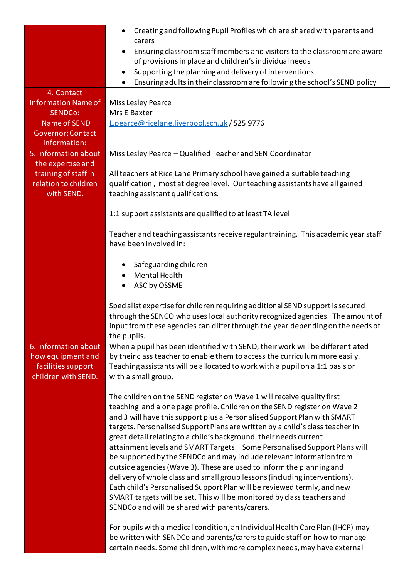|                                                                                                                        | Creating and following Pupil Profiles which are shared with parents and<br>carers<br>Ensuring classroom staff members and visitors to the classroom are aware<br>of provisions in place and children's individual needs                                                                                                                                                                                                                                                                                                                                                                                                                                                                                                                                                                                                                                                                                                                                                                    |
|------------------------------------------------------------------------------------------------------------------------|--------------------------------------------------------------------------------------------------------------------------------------------------------------------------------------------------------------------------------------------------------------------------------------------------------------------------------------------------------------------------------------------------------------------------------------------------------------------------------------------------------------------------------------------------------------------------------------------------------------------------------------------------------------------------------------------------------------------------------------------------------------------------------------------------------------------------------------------------------------------------------------------------------------------------------------------------------------------------------------------|
|                                                                                                                        | Supporting the planning and delivery of interventions<br>$\bullet$<br>Ensuring adults in their classroom are following the school's SEND policy                                                                                                                                                                                                                                                                                                                                                                                                                                                                                                                                                                                                                                                                                                                                                                                                                                            |
| 4. Contact<br><b>Information Name of</b><br>SENDCo:<br><b>Name of SEND</b><br><b>Governor: Contact</b><br>information: | Miss Lesley Pearce<br>Mrs E Baxter<br>L.pearce@ricelane.liverpool.sch.uk / 525 9776                                                                                                                                                                                                                                                                                                                                                                                                                                                                                                                                                                                                                                                                                                                                                                                                                                                                                                        |
| 5. Information about<br>the expertise and<br>training of staff in<br>relation to children<br>with SEND.                | Miss Lesley Pearce - Qualified Teacher and SEN Coordinator<br>All teachers at Rice Lane Primary school have gained a suitable teaching<br>qualification, most at degree level. Our teaching assistants have all gained<br>teaching assistant qualifications.                                                                                                                                                                                                                                                                                                                                                                                                                                                                                                                                                                                                                                                                                                                               |
|                                                                                                                        | 1:1 support assistants are qualified to at least TA level<br>Teacher and teaching assistants receive regular training. This academic year staff<br>have been involved in:<br>Safeguarding children<br><b>Mental Health</b><br>ASC by OSSME<br>٠                                                                                                                                                                                                                                                                                                                                                                                                                                                                                                                                                                                                                                                                                                                                            |
|                                                                                                                        | Specialist expertise for children requiring additional SEND support is secured<br>through the SENCO who uses local authority recognized agencies. The amount of<br>input from these agencies can differ through the year depending on the needs of<br>the pupils.                                                                                                                                                                                                                                                                                                                                                                                                                                                                                                                                                                                                                                                                                                                          |
| 6. Information about<br>how equipment and<br>facilities support<br>children with SEND.                                 | When a pupil has been identified with SEND, their work will be differentiated<br>by their class teacher to enable them to access the curriculum more easily.<br>Teaching assistants will be allocated to work with a pupil on a 1:1 basis or<br>with a small group.                                                                                                                                                                                                                                                                                                                                                                                                                                                                                                                                                                                                                                                                                                                        |
|                                                                                                                        | The children on the SEND register on Wave 1 will receive quality first<br>teaching and a one page profile. Children on the SEND register on Wave 2<br>and 3 will have this support plus a Personalised Support Plan with SMART<br>targets. Personalised Support Plans are written by a child's class teacher in<br>great detail relating to a child's background, their needs current<br>attainment levels and SMART Targets. Some Personalised Support Plans will<br>be supported by the SENDCo and may include relevant information from<br>outside agencies (Wave 3). These are used to inform the planning and<br>delivery of whole class and small group lessons (including interventions).<br>Each child's Personalised Support Plan will be reviewed termly, and new<br>SMART targets will be set. This will be monitored by class teachers and<br>SENDCo and will be shared with parents/carers.<br>For pupils with a medical condition, an Individual Health Care Plan (IHCP) may |
|                                                                                                                        | be written with SENDCo and parents/carers to guide staff on how to manage<br>certain needs. Some children, with more complex needs, may have external                                                                                                                                                                                                                                                                                                                                                                                                                                                                                                                                                                                                                                                                                                                                                                                                                                      |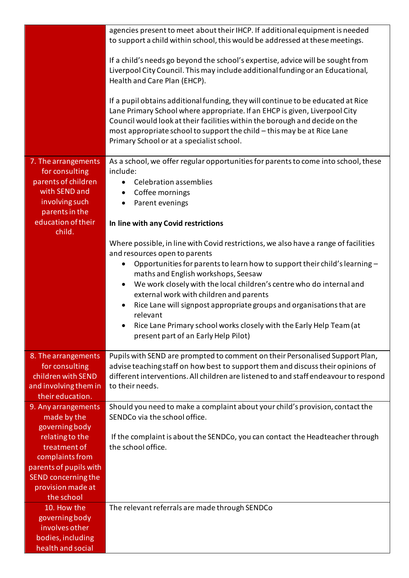|                                                                                                                                                                                                | agencies present to meet about their IHCP. If additional equipment is needed<br>to support a child within school, this would be addressed at these meetings.                                                                                                                                                                                                                                                                                                                                                                                                                                            |
|------------------------------------------------------------------------------------------------------------------------------------------------------------------------------------------------|---------------------------------------------------------------------------------------------------------------------------------------------------------------------------------------------------------------------------------------------------------------------------------------------------------------------------------------------------------------------------------------------------------------------------------------------------------------------------------------------------------------------------------------------------------------------------------------------------------|
|                                                                                                                                                                                                | If a child's needs go beyond the school's expertise, advice will be sought from<br>Liverpool City Council. This may include additional funding or an Educational,<br>Health and Care Plan (EHCP).                                                                                                                                                                                                                                                                                                                                                                                                       |
|                                                                                                                                                                                                | If a pupil obtains additional funding, they will continue to be educated at Rice<br>Lane Primary School where appropriate. If an EHCP is given, Liverpool City<br>Council would look at their facilities within the borough and decide on the<br>most appropriate school to support the child - this may be at Rice Lane<br>Primary School or at a specialist school.                                                                                                                                                                                                                                   |
| 7. The arrangements<br>for consulting<br>parents of children<br>with SEND and<br>involving such<br>parents in the<br>education of their                                                        | As a school, we offer regular opportunities for parents to come into school, these<br>include:<br><b>Celebration assemblies</b><br>Coffee mornings<br>Parent evenings<br>$\bullet$<br>In line with any Covid restrictions                                                                                                                                                                                                                                                                                                                                                                               |
| child.                                                                                                                                                                                         | Where possible, in line with Covid restrictions, we also have a range of facilities<br>and resources open to parents<br>Opportunities for parents to learn how to support their child's learning -<br>maths and English workshops, Seesaw<br>We work closely with the local children's centre who do internal and<br>$\bullet$<br>external work with children and parents<br>Rice Lane will signpost appropriate groups and organisations that are<br>$\bullet$<br>relevant<br>Rice Lane Primary school works closely with the Early Help Team (at<br>$\bullet$<br>present part of an Early Help Pilot) |
| 8. The arrangements<br>for consulting<br>children with SEND<br>and involving them in<br>their education.                                                                                       | Pupils with SEND are prompted to comment on their Personalised Support Plan,<br>advise teaching staff on how best to support them and discuss their opinions of<br>different interventions. All children are listened to and staff endeavour to respond<br>to their needs.                                                                                                                                                                                                                                                                                                                              |
| 9. Any arrangements<br>made by the<br>governing body<br>relating to the<br>treatment of<br>complaints from<br>parents of pupils with<br>SEND concerning the<br>provision made at<br>the school | Should you need to make a complaint about your child's provision, contact the<br>SENDCo via the school office.<br>If the complaint is about the SENDCo, you can contact the Headteacher through<br>the school office.                                                                                                                                                                                                                                                                                                                                                                                   |
| 10. How the<br>governing body<br>involves other<br>bodies, including<br>health and social                                                                                                      | The relevant referrals are made through SENDCo                                                                                                                                                                                                                                                                                                                                                                                                                                                                                                                                                          |